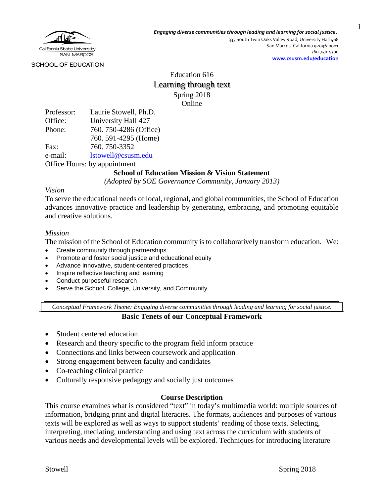

333 South Twin Oaks Valley Road, University Hall 468 San Marcos, California 92096-0001 760.750.4300 **[www.csusm.edu/education](http://www.csusm.edu/education)** 1

SCHOOL OF EDUCATION

Education 616 Learning through text Spring 2018 Online

| Professor:                   | Laurie Stowell, Ph.D. |  |
|------------------------------|-----------------------|--|
| Office:                      | University Hall 427   |  |
| Phone:                       | 760.750-4286 (Office) |  |
|                              | 760. 591-4295 (Home)  |  |
| Fax:                         | 760.750-3352          |  |
| e-mail:                      | lstowell@csusm.edu    |  |
| Office Hours: by appointment |                       |  |

## **School of Education Mission & Vision Statement**

*(Adopted by SOE Governance Community, January 2013)*

### *Vision*

To serve the educational needs of local, regional, and global communities, the School of Education advances innovative practice and leadership by generating, embracing, and promoting equitable and creative solutions.

### *Mission*

The mission of the School of Education community is to collaboratively transform education. We:

- Create community through partnerships
- Promote and foster social justice and educational equity
- Advance innovative, student-centered practices
- Inspire reflective teaching and learning
- Conduct purposeful research
- Serve the School, College, University, and Community

*Conceptual Framework Theme: Engaging diverse communities through leading and learning for social justice.*

### **Basic Tenets of our Conceptual Framework**

- Student centered education
- Research and theory specific to the program field inform practice
- Connections and links between coursework and application
- Strong engagement between faculty and candidates
- Co-teaching clinical practice
- Culturally responsive pedagogy and socially just outcomes

### **Course Description**

This course examines what is considered "text" in today's multimedia world: multiple sources of information, bridging print and digital literacies. The formats, audiences and purposes of various texts will be explored as well as ways to support students' reading of those texts. Selecting, interpreting, mediating, understanding and using text across the curriculum with students of various needs and developmental levels will be explored. Techniques for introducing literature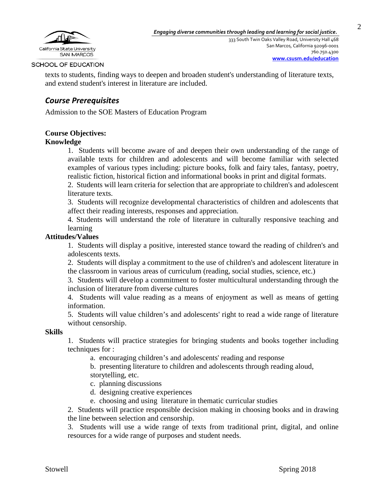

texts to students, finding ways to deepen and broaden student's understanding of literature texts, and extend student's interest in literature are included.

# *Course Prerequisites*

Admission to the SOE Masters of Education Program

### **Course Objectives:**

### **Knowledge**

1. Students will become aware of and deepen their own understanding of the range of available texts for children and adolescents and will become familiar with selected examples of various types including: picture books, folk and fairy tales, fantasy, poetry, realistic fiction, historical fiction and informational books in print and digital formats.

2. Students will learn criteria for selection that are appropriate to children's and adolescent literature texts.

3. Students will recognize developmental characteristics of children and adolescents that affect their reading interests, responses and appreciation.

4. Students will understand the role of literature in culturally responsive teaching and learning

#### **Attitudes/Values**

1. Students will display a positive, interested stance toward the reading of children's and adolescents texts.

2. Students will display a commitment to the use of children's and adolescent literature in the classroom in various areas of curriculum (reading, social studies, science, etc.)

3. Students will develop a commitment to foster multicultural understanding through the inclusion of literature from diverse cultures

4. Students will value reading as a means of enjoyment as well as means of getting information.

5. Students will value children's and adolescents' right to read a wide range of literature without censorship.

#### **Skills**

1. Students will practice strategies for bringing students and books together including techniques for :

a. encouraging children's and adolescents' reading and response

b. presenting literature to children and adolescents through reading aloud, storytelling, etc.

c. planning discussions

- d. designing creative experiences
- e. choosing and using literature in thematic curricular studies

2. Students will practice responsible decision making in choosing books and in drawing the line between selection and censorship.

3. Students will use a wide range of texts from traditional print, digital, and online resources for a wide range of purposes and student needs.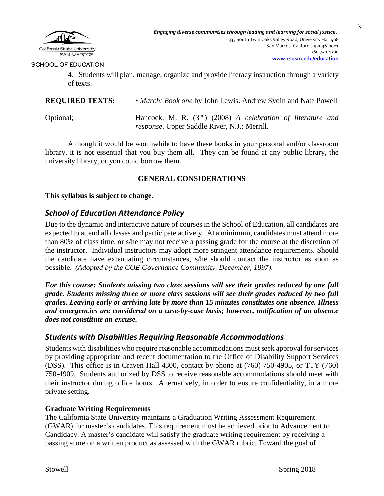

4. Students will plan, manage, organize and provide literacy instruction through a variety of texts.

**REQUIRED TEXTS:** • *March: Book one* by John Lewis, Andrew Sydin and Nate Powell

Optional; Hancock, M. R. (3nd) (2008) *A celebration of literature and response*. Upper Saddle River, N.J.: Merrill.

Although it would be worthwhile to have these books in your personal and/or classroom library, it is not essential that you buy them all. They can be found at any public library, the university library, or you could borrow them.

### **GENERAL CONSIDERATIONS**

**This syllabus is subject to change.**

## *School of Education Attendance Policy*

Due to the dynamic and interactive nature of courses in the School of Education, all candidates are expected to attend all classes and participate actively. At a minimum, candidates must attend more than 80% of class time, or s/he may not receive a passing grade for the course at the discretion of the instructor. Individual instructors may adopt more stringent attendance requirements. Should the candidate have extenuating circumstances, s/he should contact the instructor as soon as possible. *(Adopted by the COE Governance Community, December, 1997).*

*For this course: Students missing two class sessions will see their grades reduced by one full grade. Students missing three or more class sessions will see their grades reduced by two full grades. Leaving early or arriving late by more than 15 minutes constitutes one absence. Illness and emergencies are considered on a case-by-case basis; however, notification of an absence does not constitute an excuse.* 

## *Students with Disabilities Requiring Reasonable Accommodations*

Students with disabilities who require reasonable accommodations must seek approval for services by providing appropriate and recent documentation to the Office of Disability Support Services (DSS). This office is in Craven Hall 4300, contact by phone at (760) 750-4905, or TTY (760) 750-4909. Students authorized by DSS to receive reasonable accommodations should meet with their instructor during office hours. Alternatively, in order to ensure confidentiality, in a more private setting.

### **Graduate Writing Requirements**

The California State University maintains a Graduation Writing Assessment Requirement (GWAR) for master's candidates. This requirement must be achieved prior to Advancement to Candidacy. A master's candidate will satisfy the graduate writing requirement by receiving a passing score on a written product as assessed with the GWAR rubric. Toward the goal of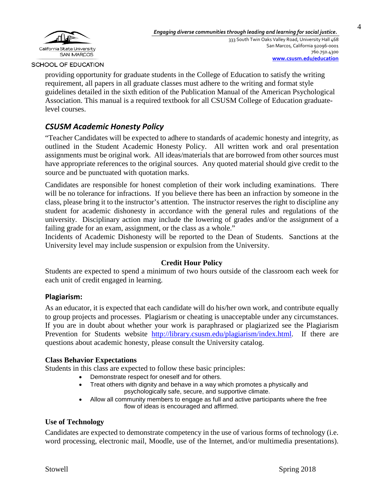

providing opportunity for graduate students in the College of Education to satisfy the writing requirement, all papers in all graduate classes must adhere to the writing and format style guidelines detailed in the sixth edition of the Publication Manual of the American Psychological Association. This manual is a required textbook for all CSUSM College of Education graduatelevel courses.

# *CSUSM Academic Honesty Policy*

"Teacher Candidates will be expected to adhere to standards of academic honesty and integrity, as outlined in the Student Academic Honesty Policy. All written work and oral presentation assignments must be original work. All ideas/materials that are borrowed from other sources must have appropriate references to the original sources. Any quoted material should give credit to the source and be punctuated with quotation marks.

Candidates are responsible for honest completion of their work including examinations. There will be no tolerance for infractions. If you believe there has been an infraction by someone in the class, please bring it to the instructor's attention. The instructor reserves the right to discipline any student for academic dishonesty in accordance with the general rules and regulations of the university. Disciplinary action may include the lowering of grades and/or the assignment of a failing grade for an exam, assignment, or the class as a whole."

Incidents of Academic Dishonesty will be reported to the Dean of Students. Sanctions at the University level may include suspension or expulsion from the University.

### **Credit Hour Policy**

Students are expected to spend a minimum of two hours outside of the classroom each week for each unit of credit engaged in learning.

### **Plagiarism:**

As an educator, it is expected that each candidate will do his/her own work, and contribute equally to group projects and processes. Plagiarism or cheating is unacceptable under any circumstances. If you are in doubt about whether your work is paraphrased or plagiarized see the Plagiarism Prevention for Students website [http://library.csusm.edu/plagiarism/index.html.](http://library.csusm.edu/plagiarism/index.html) If there are questions about academic honesty, please consult the University catalog.

### **Class Behavior Expectations**

Students in this class are expected to follow these basic principles:

- Demonstrate respect for oneself and for others.
- Treat others with dignity and behave in a way which promotes a physically and psychologically safe, secure, and supportive climate.
- Allow all community members to engage as full and active participants where the free flow of ideas is encouraged and affirmed.

### **Use of Technology**

Candidates are expected to demonstrate competency in the use of various forms of technology (i.e. word processing, electronic mail, Moodle, use of the Internet, and/or multimedia presentations).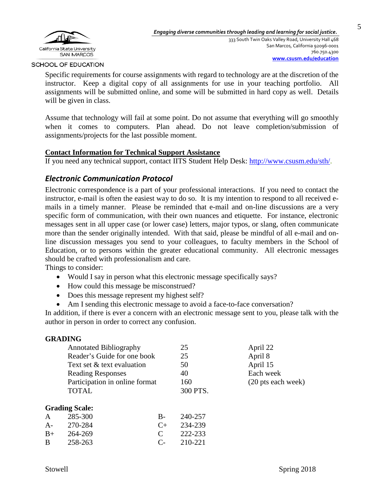

Specific requirements for course assignments with regard to technology are at the discretion of the instructor. Keep a digital copy of all assignments for use in your teaching portfolio. All assignments will be submitted online, and some will be submitted in hard copy as well. Details will be given in class.

Assume that technology will fail at some point. Do not assume that everything will go smoothly when it comes to computers. Plan ahead. Do not leave completion/submission of assignments/projects for the last possible moment.

### **Contact Information for Technical Support Assistance**

If you need any technical support, contact IITS Student Help Desk: [http://www.csusm.edu/sth/.](http://www.csusm.edu/sth/)

## *Electronic Communication Protocol*

Electronic correspondence is a part of your professional interactions. If you need to contact the instructor, e-mail is often the easiest way to do so. It is my intention to respond to all received emails in a timely manner. Please be reminded that e-mail and on-line discussions are a very specific form of communication, with their own nuances and etiquette. For instance, electronic messages sent in all upper case (or lower case) letters, major typos, or slang, often communicate more than the sender originally intended. With that said, please be mindful of all e-mail and online discussion messages you send to your colleagues, to faculty members in the School of Education, or to persons within the greater educational community. All electronic messages should be crafted with professionalism and care.

Things to consider:

- Would I say in person what this electronic message specifically says?
- How could this message be misconstrued?
- Does this message represent my highest self?
- Am I sending this electronic message to avoid a face-to-face conversation?

In addition, if there is ever a concern with an electronic message sent to you, please talk with the author in person in order to correct any confusion.

|                               | unadiist                       |                      |          |                    |
|-------------------------------|--------------------------------|----------------------|----------|--------------------|
| <b>Annotated Bibliography</b> |                                |                      | 25       | April 22           |
|                               | Reader's Guide for one book    |                      | 25       | April 8            |
|                               | Text set & text evaluation     |                      | 50       | April 15           |
|                               | <b>Reading Responses</b>       |                      | 40       | Each week          |
|                               | Participation in online format |                      | 160      | (20 pts each week) |
|                               | <b>TOTAL</b>                   |                      | 300 PTS. |                    |
|                               | <b>Grading Scale:</b>          |                      |          |                    |
| A                             | 285-300                        | $B-$                 | 240-257  |                    |
| A-                            | 270-284                        | $C_{+}$              | 234-239  |                    |
| $B+$                          | 264-269                        | $\mathsf{C}$         | 222-233  |                    |
| B                             | 258-263                        | $\mathsf{C}\text{-}$ | 210-221  |                    |
|                               |                                |                      |          |                    |

# **GRADING**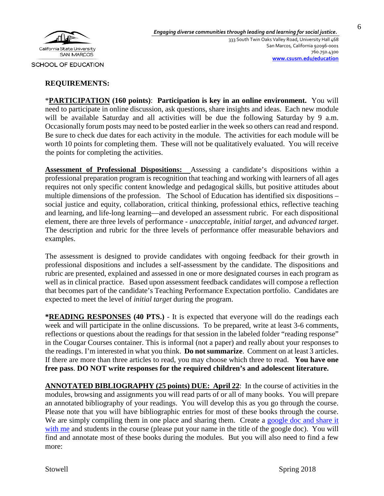

### **REQUIREMENTS:**

\***PARTICIPATION (160 points)**: **Participation is key in an online environment.** You will need to participate in online discussion, ask questions, share insights and ideas. Each new module will be available Saturday and all activities will be due the following Saturday by 9 a.m. Occasionally forum posts may need to be posted earlier in the week so others can read and respond. Be sure to check due dates for each activity in the module. The activities for each module will be worth 10 points for completing them. These will not be qualitatively evaluated. You will receive the points for completing the activities.

**Assessment of Professional Dispositions:** Assessing a candidate's dispositions within a professional preparation program is recognition that teaching and working with learners of all ages requires not only specific content knowledge and pedagogical skills, but positive attitudes about multiple dimensions of the profession. The School of Education has identified six dispositions – social justice and equity, collaboration, critical thinking, professional ethics, reflective teaching and learning, and life-long learning—and developed an assessment rubric. For each dispositional element, there are three levels of performance - *unacceptable*, *initial target*, and *advanced target*. The description and rubric for the three levels of performance offer measurable behaviors and examples.

The assessment is designed to provide candidates with ongoing feedback for their growth in professional dispositions and includes a self-assessment by the candidate. The dispositions and rubric are presented, explained and assessed in one or more designated courses in each program as well as in clinical practice. Based upon assessment feedback candidates will compose a reflection that becomes part of the candidate's Teaching Performance Expectation portfolio. Candidates are expected to meet the level of *initial target* during the program.

**\*READING RESPONSES (40 PTS.)** - It is expected that everyone will do the readings each week and will participate in the online discussions. To be prepared, write at least 3-6 comments, reflections or questions about the readings for that session in the labeled folder "reading response" in the Cougar Courses container. This is informal (not a paper) and really about your responses to the readings. I'm interested in what you think. **Do not summarize**. Comment on at least 3 articles. If there are more than three articles to read, you may choose which three to read. **You have one free pass**. **DO NOT write responses for the required children's and adolescent literature.**

**ANNOTATED BIBLIOGRAPHY (25 points) DUE: April 22**: In the course of activities in the modules, browsing and assignments you will read parts of or all of many books. You will prepare an annotated bibliography of your readings. You will develop this as you go through the course. Please note that you will have bibliographic entries for most of these books through the course. We are simply compiling them in one place and sharing them. Create a google doc and share it [with me](https://www.youtube.com/watch?v=CN_kW_ZFfcQ&t=2s) and students in the course (please put your name in the title of the google doc). You will find and annotate most of these books during the modules. But you will also need to find a few more: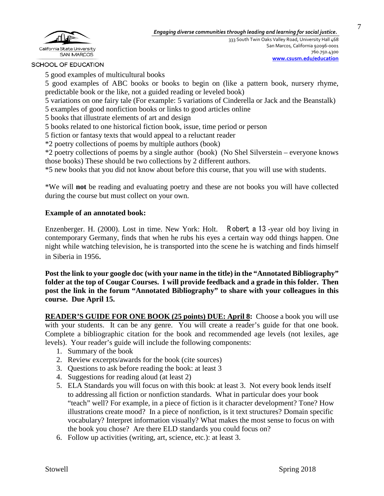

5 good examples of multicultural books

5 good examples of ABC books or books to begin on (like a pattern book, nursery rhyme, predictable book or the like, not a guided reading or leveled book)

5 variations on one fairy tale (For example: 5 variations of Cinderella or Jack and the Beanstalk) 5 examples of good nonfiction books or links to good articles online

5 books that illustrate elements of art and design

5 books related to one historical fiction book, issue, time period or person

5 fiction or fantasy texts that would appeal to a reluctant reader

\*2 poetry collections of poems by multiple authors (book)

\*2 poetry collections of poems by a single author (book) (No Shel Silverstein – everyone knows those books) These should be two collections by 2 different authors.

\*5 new books that you did not know about before this course, that you will use with students.

\*We will **not** be reading and evaluating poetry and these are not books you will have collected during the course but must collect on your own.

### **Example of an annotated book:**

Enzenberger. H. (2000). Lost in time. New York: Holt. R obert, a 13 -year old boy living in contemporary Germany, finds that when he rubs his eyes a certain way odd things happen. One night while watching television, he is transported into the scene he is watching and finds himself in Siberia in 1956.

**Post the link to your google doc (with your name in the title) in the "Annotated Bibliography" folder at the top of Cougar Courses. I will provide feedback and a grade in this folder. Then post the link in the forum "Annotated Bibliography" to share with your colleagues in this course. Due April 15.**

**READER'S GUIDE FOR ONE BOOK (25 points) DUE: April 8:** Choose a book you will use with your students. It can be any genre.You will create a reader's guide for that one book. Complete a bibliographic citation for the book and recommended age levels (not lexiles, age levels). Your reader's guide will include the following components:

- 1. Summary of the book
- 2. Review excerpts/awards for the book (cite sources)
- 3. Questions to ask before reading the book: at least 3
- 4. Suggestions for reading aloud (at least 2)
- 5. ELA Standards you will focus on with this book: at least 3. Not every book lends itself to addressing all fiction or nonfiction standards. What in particular does your book "teach" well? For example, in a piece of fiction is it character development? Tone? How illustrations create mood? In a piece of nonfiction, is it text structures? Domain specific vocabulary? Interpret information visually? What makes the most sense to focus on with the book you chose? Are there ELD standards you could focus on?
- 6. Follow up activities (writing, art, science, etc.): at least 3.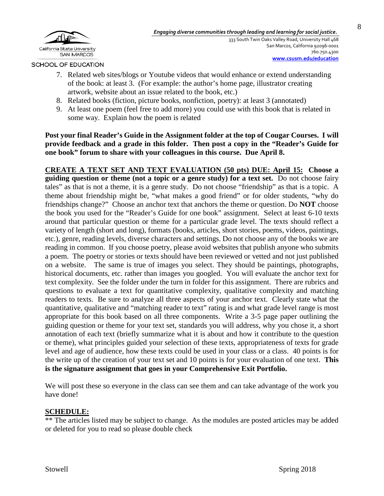

8

SCHOOL OF EDUCATION

- 7. Related web sites/blogs or Youtube videos that would enhance or extend understanding of the book: at least 3. (For example: the author's home page, illustrator creating artwork, website about an issue related to the book, etc.)
- 8. Related books (fiction, picture books, nonfiction, poetry): at least 3 (annotated)
- 9. At least one poem (feel free to add more) you could use with this book that is related in some way. Explain how the poem is related

**Post your final Reader's Guide in the Assignment folder at the top of Cougar Courses. I will provide feedback and a grade in this folder. Then post a copy in the "Reader's Guide for one book" forum to share with your colleagues in this course. Due April 8.**

**CREATE A TEXT SET AND TEXT EVALUATION (50 pts) DUE: April 15: Choose a guiding question or theme (not a topic or a genre study) for a text set.** Do not choose fairy tales" as that is not a theme, it is a genre study. Do not choose "friendship" as that is a topic. A theme about friendship might be, "what makes a good friend" or for older students, "why do friendships change?" Choose an anchor text that anchors the theme or question. Do **NOT** choose the book you used for the "Reader's Guide for one book" assignment. Select at least 6-10 texts around that particular question or theme for a particular grade level. The texts should reflect a variety of length (short and long), formats (books, articles, short stories, poems, videos, paintings, etc.), genre, reading levels, diverse characters and settings. Do not choose any of the books we are reading in common. If you choose poetry, please avoid websites that publish anyone who submits a poem. The poetry or stories or texts should have been reviewed or vetted and not just published on a website. The same is true of images you select. They should be paintings, photographs, historical documents, etc. rather than images you googled. You will evaluate the anchor text for text complexity. See the folder under the turn in folder for this assignment. There are rubrics and questions to evaluate a text for quantitative complexity, qualitative complexity and matching readers to texts. Be sure to analyze all three aspects of your anchor text. Clearly state what the quantitative, qualitative and "matching reader to text" rating is and what grade level range is most appropriate for this book based on all three components. Write a 3-5 page paper outlining the guiding question or theme for your text set, standards you will address, why you chose it, a short annotation of each text (briefly summarize what it is about and how it contribute to the question or theme), what principles guided your selection of these texts, appropriateness of texts for grade level and age of audience, how these texts could be used in your class or a class. 40 points is for the write up of the creation of your text set and 10 points is for your evaluation of one text. **This is the signature assignment that goes in your Comprehensive Exit Portfolio.**

We will post these so everyone in the class can see them and can take advantage of the work you have done!

# **SCHEDULE:**

\*\* The articles listed may be subject to change. As the modules are posted articles may be added or deleted for you to read so please double check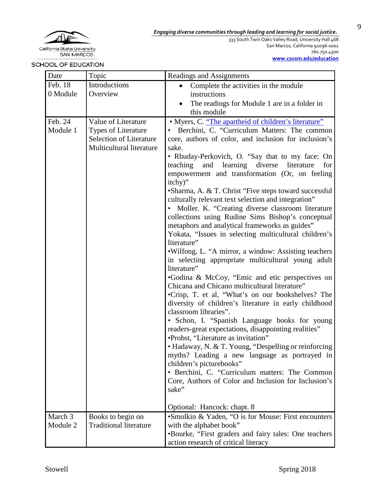

333 South Twin Oaks Valley Road, University Hall 468 San Marcos, California 92096-0001 760.750.4300

SCHOOL OF EDUCATION

**[www.csusm.edu/education](http://www.csusm.edu/education)**

| Date     | Topic                                                      | Readings and Assignments                                                                                   |
|----------|------------------------------------------------------------|------------------------------------------------------------------------------------------------------------|
| Feb. 18  | Introductions                                              | Complete the activities in the module                                                                      |
| 0 Module | Overview                                                   | instructions                                                                                               |
|          |                                                            | The readings for Module 1 are in a folder in                                                               |
|          |                                                            | this module                                                                                                |
| Feb. 24  | Value of Literature                                        | • Myers, C. "The apartheid of children's literature"                                                       |
| Module 1 | <b>Types of Literature</b>                                 | Berchini, C. "Curriculum Matters: The common                                                               |
|          | <b>Selection of Literature</b><br>Multicultural literature | core, authors of color, and inclusion for inclusion's<br>sake.                                             |
|          |                                                            | • Rhuday-Perkovich, O. "Say that to my face: On                                                            |
|          |                                                            | teaching and learning diverse<br>for<br>literature                                                         |
|          |                                                            | empowerment and transformation (Or, on feeling                                                             |
|          |                                                            | itchy)"                                                                                                    |
|          |                                                            | • Sharma, A. & T. Christ "Five steps toward successful                                                     |
|          |                                                            | culturally relevant text selection and integration"                                                        |
|          |                                                            | • Moller. K. "Creating diverse classroom literature                                                        |
|          |                                                            | collections using Rudine Sims Bishop's conceptual                                                          |
|          |                                                            | metaphors and analytical frameworks as guides"                                                             |
|          |                                                            | Yokata, "Issues in selecting multicultural children's                                                      |
|          |                                                            | literature"                                                                                                |
|          |                                                            | .Wilfong, L. "A mirror, a window: Assisting teachers<br>in selecting appropriate multicultural young adult |
|          |                                                            | literature"                                                                                                |
|          |                                                            | •Godina & McCoy, "Emic and etic perspectives on                                                            |
|          |                                                            | Chicana and Chicano multicultural literature"                                                              |
|          |                                                            | •Crisp, T. et al, "What's on our bookshelves? The                                                          |
|          |                                                            | diversity of children's literature in early childhood                                                      |
|          |                                                            | classroom libraries".                                                                                      |
|          |                                                            | • Schon, I. "Spanish Language books for young                                                              |
|          |                                                            | readers-great expectations, disappointing realities"                                                       |
|          |                                                            | •Probst, "Literature as invitation"                                                                        |
|          |                                                            | • Hadaway, N. & T. Young, "Despelling or reinforcing                                                       |
|          |                                                            | myths? Leading a new language as portrayed in<br>children's picturebooks"                                  |
|          |                                                            | • Berchini, C. "Curriculum matters: The Common                                                             |
|          |                                                            | Core, Authors of Color and Inclusion for Inclusion's                                                       |
|          |                                                            | sake"                                                                                                      |
|          |                                                            |                                                                                                            |
|          |                                                            | Optional: Hancock: chapt. 8                                                                                |
| March 3  | Books to begin on                                          | •Smolkin & Yaden, "O is for Mouse: First encounters                                                        |
| Module 2 | <b>Traditional literature</b>                              | with the alphabet book"                                                                                    |
|          |                                                            | •Bourke, "First graders and fairy tales: One teachers                                                      |
|          |                                                            | action research of critical literacy                                                                       |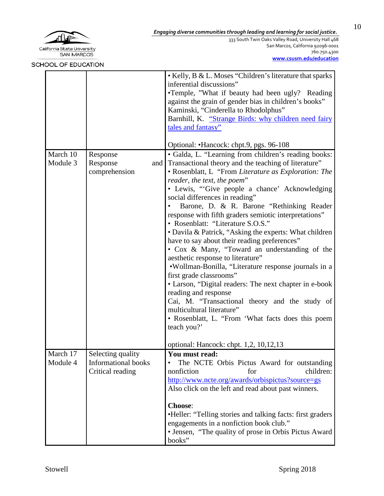

333 South Twin Oaks Valley Road, University Hall 468 San Marcos, California 92096-0001 760.750.4300 **[www.csusm.edu/education](http://www.csusm.edu/education)**

| <b>AUUL UF EDUCATION</b> |                                                                     |                                                                                                                                                                                                                                                                                                                                                                                                                                                                                                                                                                                                                                                                                                                                                                                                                                                                                                                                                                                                                                                                                                                                                                                                                                                                                                                                                                               |
|--------------------------|---------------------------------------------------------------------|-------------------------------------------------------------------------------------------------------------------------------------------------------------------------------------------------------------------------------------------------------------------------------------------------------------------------------------------------------------------------------------------------------------------------------------------------------------------------------------------------------------------------------------------------------------------------------------------------------------------------------------------------------------------------------------------------------------------------------------------------------------------------------------------------------------------------------------------------------------------------------------------------------------------------------------------------------------------------------------------------------------------------------------------------------------------------------------------------------------------------------------------------------------------------------------------------------------------------------------------------------------------------------------------------------------------------------------------------------------------------------|
| March 10<br>Module 3     | Response<br>Response<br>comprehension                               | • Kelly, B & L. Moses "Children's literature that sparks<br>inferential discussions"<br>•Temple, "What if beauty had been ugly? Reading<br>against the grain of gender bias in children's books"<br>Kaminski, "Cinderella to Rhodolphus"<br>Barnhill, K. "Strange Birds: why children need fairy<br>tales and fantasy"<br>Optional: •Hancock: chpt.9, pgs. 96-108<br>• Galda, L. "Learning from children's reading books:<br>and Transactional theory and the teaching of literature"<br>• Rosenblatt, L "From Literature as Exploration: The<br>reader, the text, the poem"<br>· Lewis, "Give people a chance' Acknowledging<br>social differences in reading"<br>Barone, D. & R. Barone "Rethinking Reader"<br>response with fifth graders semiotic interpretations"<br>• Rosenblatt: "Literature S.O.S."<br>• Davila & Patrick, "Asking the experts: What children<br>have to say about their reading preferences"<br>• Cox & Many, "Toward an understanding of the<br>aesthetic response to literature"<br>•Wollman-Bonilla, "Literature response journals in a<br>first grade classrooms"<br>• Larson, "Digital readers: The next chapter in e-book<br>reading and response<br>Cai, M. "Transactional theory and the study of<br>multicultural literature"<br>• Rosenblatt, L. "From 'What facts does this poem<br>teach you?'<br>optional: Hancock: chpt. 1,2, 10,12,13 |
| March 17<br>Module 4     | Selecting quality<br><b>Informational books</b><br>Critical reading | You must read:<br>The NCTE Orbis Pictus Award for outstanding<br>$\bullet$<br>children:<br>nonfiction<br>for<br>http://www.ncte.org/awards/orbispictus?source=gs<br>Also click on the left and read about past winners.<br><b>Choose:</b><br>•Heller: "Telling stories and talking facts: first graders<br>engagements in a nonfiction book club."<br>• Jensen, "The quality of prose in Orbis Pictus Award<br>books"                                                                                                                                                                                                                                                                                                                                                                                                                                                                                                                                                                                                                                                                                                                                                                                                                                                                                                                                                         |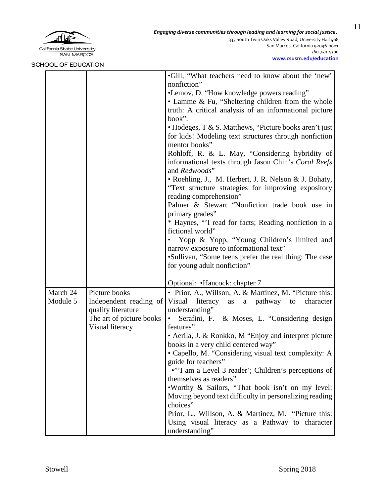

333 South Twin Oaks Valley Road, University Hall 468 San Marcos, California 92096-0001 760.750.4300 **[www.csusm.edu/education](http://www.csusm.edu/education)**

|                      |                                                                                                              | •Gill, "What teachers need to know about the 'new'<br>nonfiction"<br>•Lemov, D. "How knowledge powers reading"<br>• Lamme & Fu, "Sheltering children from the whole<br>truth: A critical analysis of an informational picture<br>book".<br>• Hodeges, T & S. Matthews, "Picture books aren't just<br>for kids! Modeling text structures through nonfiction<br>mentor books"<br>Rohloff, R. & L. May, "Considering hybridity of<br>informational texts through Jason Chin's Coral Reefs<br>and Redwoods"<br>• Roehling, J., M. Herbert, J. R. Nelson & J. Bohaty,<br>"Text structure strategies for improving expository<br>reading comprehension"<br>Palmer & Stewart "Nonfiction trade book use in<br>primary grades"<br>* Haynes, "I read for facts; Reading nonfiction in a<br>fictional world"<br>Yopp & Yopp, "Young Children's limited and<br>narrow exposure to informational text"<br>•Sullivan, "Some teens prefer the real thing: The case<br>for young adult nonfiction" |
|----------------------|--------------------------------------------------------------------------------------------------------------|-------------------------------------------------------------------------------------------------------------------------------------------------------------------------------------------------------------------------------------------------------------------------------------------------------------------------------------------------------------------------------------------------------------------------------------------------------------------------------------------------------------------------------------------------------------------------------------------------------------------------------------------------------------------------------------------------------------------------------------------------------------------------------------------------------------------------------------------------------------------------------------------------------------------------------------------------------------------------------------|
|                      |                                                                                                              | Optional: • Hancock: chapter 7                                                                                                                                                                                                                                                                                                                                                                                                                                                                                                                                                                                                                                                                                                                                                                                                                                                                                                                                                      |
| March 24<br>Module 5 | Picture books<br>Independent reading of<br>quality literature<br>The art of picture books<br>Visual literacy | • Prior, A., Willson, A. & Martinez, M. "Picture this:<br>Visual literacy<br>pathway<br>character<br>as<br>a<br>to<br>understanding"<br>Serafini, F. & Moses, L. "Considering design<br>$\bullet$<br>features"<br>• Aerila, J. & Ronkko, M "Enjoy and interpret picture<br>books in a very child centered way"<br>• Capello, M. "Considering visual text complexity: A<br>guide for teachers"<br>•"'I am a Level 3 reader'; Children's perceptions of<br>themselves as readers"<br>. Worthy & Sailors, "That book isn't on my level:<br>Moving beyond text difficulty in personalizing reading<br>choices"<br>Prior, L., Willson, A. & Martinez, M. "Picture this:<br>Using visual literacy as a Pathway to character<br>understanding"                                                                                                                                                                                                                                             |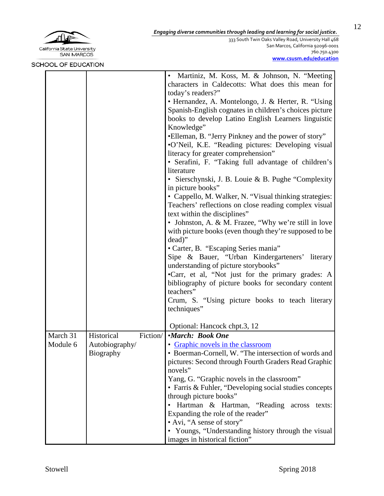

333 South Twin Oaks Valley Road, University Hall 468 San Marcos, California 92096-0001 760.750.4300 **[www.csusm.edu/education](http://www.csusm.edu/education)**

|          |                                    | $\bullet$ | Martiniz, M. Koss, M. & Johnson, N. "Meeting<br>characters in Caldecotts: What does this mean for<br>today's readers?"<br>• Hernandez, A. Montelongo, J. & Herter, R. "Using<br>Spanish-English cognates in children's choices picture<br>books to develop Latino English Learners linguistic<br>Knowledge"<br>•Elleman, B. "Jerry Pinkney and the power of story"<br>•O'Neil, K.E. "Reading pictures: Developing visual<br>literacy for greater comprehension"<br>· Serafini, F. "Taking full advantage of children's<br>literature<br>• Sierschynski, J. B. Louie & B. Pughe "Complexity<br>in picture books"<br>• Cappello, M. Walker, N. "Visual thinking strategies:<br>Teachers' reflections on close reading complex visual<br>text within the disciplines"<br>• Johnston, A. & M. Frazee, "Why we're still in love<br>with picture books (even though they're supposed to be<br>dead)"<br>• Carter, B. "Escaping Series mania"<br>Sipe & Bauer, "Urban Kindergarteners' literary<br>understanding of picture storybooks"<br>•Carr, et al, "Not just for the primary grades: A<br>bibliography of picture books for secondary content<br>teachers"<br>Crum, S. "Using picture books to teach literary<br>techniques"<br>Optional: Hancock chpt.3, 12 |
|----------|------------------------------------|-----------|-------------------------------------------------------------------------------------------------------------------------------------------------------------------------------------------------------------------------------------------------------------------------------------------------------------------------------------------------------------------------------------------------------------------------------------------------------------------------------------------------------------------------------------------------------------------------------------------------------------------------------------------------------------------------------------------------------------------------------------------------------------------------------------------------------------------------------------------------------------------------------------------------------------------------------------------------------------------------------------------------------------------------------------------------------------------------------------------------------------------------------------------------------------------------------------------------------------------------------------------------------------|
| March 31 | Historical                         | Fiction/  | <i>•March: Book One</i>                                                                                                                                                                                                                                                                                                                                                                                                                                                                                                                                                                                                                                                                                                                                                                                                                                                                                                                                                                                                                                                                                                                                                                                                                                     |
| Module 6 | Autobiography/<br><b>Biography</b> |           | • Graphic novels in the classroom<br>• Boerman-Cornell, W. "The intersection of words and<br>pictures: Second through Fourth Graders Read Graphic<br>novels"<br>Yang, G. "Graphic novels in the classroom"<br>• Farris & Fuhler, "Developing social studies concepts<br>through picture books"<br>Hartman & Hartman, "Reading across texts:<br>Expanding the role of the reader"<br>• Avi, "A sense of story"<br>• Youngs, "Understanding history through the visual<br>images in historical fiction"                                                                                                                                                                                                                                                                                                                                                                                                                                                                                                                                                                                                                                                                                                                                                       |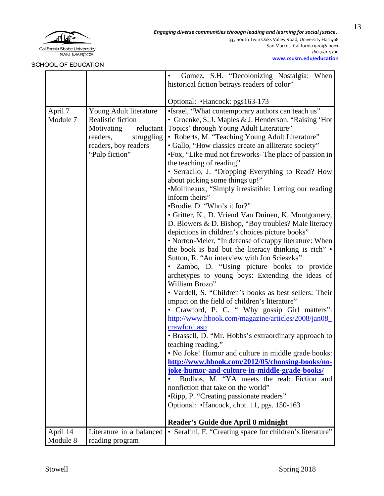

333 South Twin Oaks Valley Road, University Hall 468 San Marcos, California 92096-0001 760.750.4300 **[www.csusm.edu/education](http://www.csusm.edu/education)**

|          |                          | Gomez, S.H. "Decolonizing Nostalgia: When                 |
|----------|--------------------------|-----------------------------------------------------------|
|          |                          | historical fiction betrays readers of color"              |
|          |                          |                                                           |
|          |                          | Optional: •Hancock: pgs163-173                            |
| April 7  | Young Adult literature   | •Israel, "What contemporary authors can teach us"         |
| Module 7 | Realistic fiction        | • Groenke, S. J. Maples & J. Henderson, "Raising 'Hot     |
|          | Motivating<br>reluctant  | Topics' through Young Adult Literature"                   |
|          | readers,<br>struggling   | • Roberts, M. "Teaching Young Adult Literature"           |
|          | readers, boy readers     | • Gallo, "How classics create an alliterate society"      |
|          | "Pulp fiction"           | •Fox, "Like mud not fireworks- The place of passion in    |
|          |                          | the teaching of reading"                                  |
|          |                          | • Serraallo, J. "Dropping Everything to Read? How         |
|          |                          | about picking some things up!"                            |
|          |                          | •Mollineaux, "Simply irresistible: Letting our reading    |
|          |                          | inform theirs"                                            |
|          |                          | •Brodie, D. "Who's it for?"                               |
|          |                          | • Gritter, K., D. Vriend Van Duinen, K. Montgomery,       |
|          |                          | D. Blowers & D. Bishop, "Boy troubles? Male literacy      |
|          |                          | depictions in children's choices picture books"           |
|          |                          | • Norton-Meier, "In defense of crappy literature: When    |
|          |                          | the book is bad but the literacy thinking is rich" •      |
|          |                          | Sutton, R. "An interview with Jon Scieszka"               |
|          |                          | • Zambo, D. "Using picture books to provide               |
|          |                          | archetypes to young boys: Extending the ideas of          |
|          |                          | William Brozo"                                            |
|          |                          | • Vardell, S. "Children's books as best sellers: Their    |
|          |                          | impact on the field of children's literature"             |
|          |                          | • Crawford, P. C. " Why gossip Girl matters":             |
|          |                          | http://www.hbook.com/magazine/articles/2008/jan08         |
|          |                          | crawford.asp                                              |
|          |                          | • Brassell, D. "Mr. Hobbs's extraordinary approach to     |
|          |                          | teaching reading."                                        |
|          |                          | . No Joke! Humor and culture in middle grade books:       |
|          |                          | http://www.hbook.com/2012/05/choosing-books/no-           |
|          |                          | joke-humor-and-culture-in-middle-grade-books/             |
|          |                          | Budhos, M. "YA meets the real: Fiction and                |
|          |                          | nonfiction that take on the world"                        |
|          |                          | •Ripp, P. "Creating passionate readers"                   |
|          |                          | Optional: •Hancock, chpt. 11, pgs. 150-163                |
|          |                          | Reader's Guide due April 8 midnight                       |
| April 14 | Literature in a balanced | • Serafini, F. "Creating space for children's literature" |
| Module 8 | reading program          |                                                           |